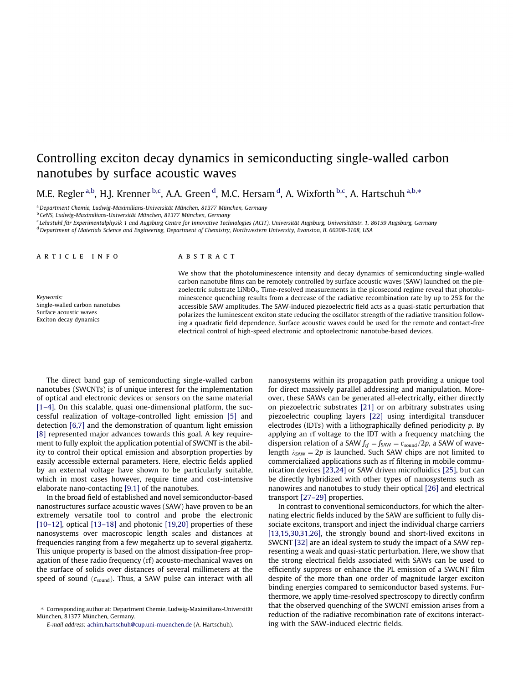# Controlling exciton decay dynamics in semiconducting single-walled carbon nanotubes by surface acoustic waves

M.E. Regler <sup>a,b</sup>, H.J. Krenner <sup>b,c</sup>, A.A. Green <sup>d</sup>, M.C. Hersam <sup>d</sup>, A. Wixforth <sup>b,c</sup>, A. Hartschuh <sup>a,b,</sup>\*

<sup>a</sup>Department Chemie, Ludwig-Maximilians-Universität München, 81377 München, Germany

<sup>b</sup> CeNS, Ludwig-Maximilians-Universität München, 81377 München, Germany

c Lehrstuhl für Experimentalphysik 1 and Augsburg Centre for Innovative Technologies (ACIT), Universität Augsburg, Universitätstr. 1, 86159 Augsburg, Germany

<sup>d</sup> Department of Materials Science and Engineering, Department of Chemistry, Northwestern University, Evanston, IL 60208-3108, USA

## a r t i c l e i n f o

Keywords: Single-walled carbon nanotubes Surface acoustic waves Exciton decay dynamics

#### A B S T R A C T

We show that the photoluminescence intensity and decay dynamics of semiconducting single-walled carbon nanotube films can be remotely controlled by surface acoustic waves (SAW) launched on the piezoelectric substrate LiNbO<sub>3</sub>. Time-resolved measurements in the picosecond regime reveal that photoluminescence quenching results from a decrease of the radiative recombination rate by up to 25% for the accessible SAW amplitudes. The SAW-induced piezoelectric field acts as a quasi-static perturbation that polarizes the luminescent exciton state reducing the oscillator strength of the radiative transition following a quadratic field dependence. Surface acoustic waves could be used for the remote and contact-free electrical control of high-speed electronic and optoelectronic nanotube-based devices.

The direct band gap of semiconducting single-walled carbon nanotubes (SWCNTs) is of unique interest for the implementation of optical and electronic devices or sensors on the same material [\[1–4\].](#page-5-0) On this scalable, quasi one-dimensional platform, the successful realization of voltage-controlled light emission [\[5\]](#page-5-0) and detection [\[6,7\]](#page-5-0) and the demonstration of quantum light emission [\[8\]](#page-5-0) represented major advances towards this goal. A key requirement to fully exploit the application potential of SWCNT is the ability to control their optical emission and absorption properties by easily accessible external parameters. Here, electric fields applied by an external voltage have shown to be particularly suitable, which in most cases however, require time and cost-intensive elaborate nano-contacting [\[9,1\]](#page-5-0) of the nanotubes.

In the broad field of established and novel semiconductor-based nanostructures surface acoustic waves (SAW) have proven to be an extremely versatile tool to control and probe the electronic [\[10–12\]](#page-5-0), optical [\[13–18\]](#page-5-0) and photonic [\[19,20\]](#page-5-0) properties of these nanosystems over macroscopic length scales and distances at frequencies ranging from a few megahertz up to several gigahertz. This unique property is based on the almost dissipation-free propagation of these radio frequency (rf) acousto-mechanical waves on the surface of solids over distances of several millimeters at the speed of sound  $(c_{sound})$ . Thus, a SAW pulse can interact with all nanosystems within its propagation path providing a unique tool for direct massively parallel addressing and manipulation. Moreover, these SAWs can be generated all-electrically, either directly on piezoelectric substrates [\[21\]](#page-5-0) or on arbitrary substrates using piezoelectric coupling layers [\[22\]](#page-5-0) using interdigital transducer electrodes (IDTs) with a lithographically defined periodicity p. By applying an rf voltage to the IDT with a frequency matching the dispersion relation of a SAW  $f_{\text{rf}} = f_{\text{SAW}} = c_{\text{sound}}/2p$ , a SAW of wavelength  $\lambda_{SAW} = 2p$  is launched. Such SAW chips are not limited to commercialized applications such as rf filtering in mobile communication devices [\[23,24\]](#page-5-0) or SAW driven microfluidics [\[25\],](#page-5-0) but can be directly hybridized with other types of nanosystems such as nanowires and nanotubes to study their optical [\[26\]](#page-5-0) and electrical transport [\[27–29\]](#page-5-0) properties.

In contrast to conventional semiconductors, for which the alternating electric fields induced by the SAW are sufficient to fully dissociate excitons, transport and inject the individual charge carriers [\[13,15,30,31,26\],](#page-5-0) the strongly bound and short-lived excitons in SWCNT [\[32\]](#page-5-0) are an ideal system to study the impact of a SAW representing a weak and quasi-static perturbation. Here, we show that the strong electrical fields associated with SAWs can be used to efficiently suppress or enhance the PL emission of a SWCNT film despite of the more than one order of magnitude larger exciton binding energies compared to semiconductor based systems. Furthermore, we apply time-resolved spectroscopy to directly confirm that the observed quenching of the SWCNT emission arises from a reduction of the radiative recombination rate of excitons interacting with the SAW-induced electric fields.

<sup>⇑</sup> Corresponding author at: Department Chemie, Ludwig-Maximilians-Universität München, 81377 München, Germany.

E-mail address: [achim.hartschuh@cup.uni-muenchen.de](mailto:achim.hartschuh@cup.uni-muenchen.de) (A. Hartschuh).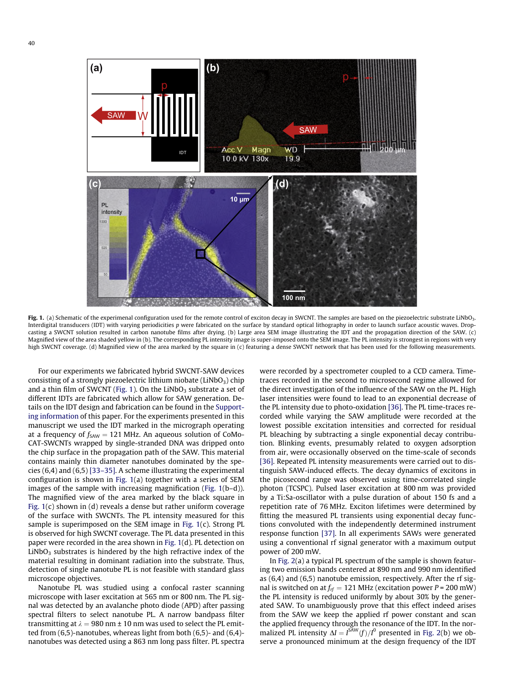

Fig. 1. (a) Schematic of the experimenal configuration used for the remote control of exciton decay in SWCNT. The samples are based on the piezoelectric substrate LiNbO3. Interdigital transducers (IDT) with varying periodicities p were fabricated on the surface by standard optical lithography in order to launch surface acoustic waves. Dropcasting a SWCNT solution resulted in carbon nanotube films after drying. (b) Large area SEM image illustrating the IDT and the propagation direction of the SAW. (c) Magnified view of the area shaded yellow in (b). The corresponding PL intensity image is super-imposed onto the SEM image. The PL intensity is strongest in regions with very high SWCNT coverage. (d) Magnified view of the area marked by the square in (c) featuring a dense SWCNT network that has been used for the following measurements.

For our experiments we fabricated hybrid SWCNT-SAW devices consisting of a strongly piezoelectric lithium niobate (LiNbO<sub>3</sub>) chip and a thin film of SWCNT (Fig. 1). On the LiNbO<sub>3</sub> substrate a set of different IDTs are fabricated which allow for SAW generation. Details on the IDT design and fabrication can be found in the [Support](#page-5-0)ing [information](#page-5-0) of this paper. For the experiments presented in this manuscript we used the IDT marked in the micrograph operating at a frequency of  $f_{SAW} = 121$  MHz. An aqueous solution of CoMo-CAT-SWCNTs wrapped by single-stranded DNA was dripped onto the chip surface in the propagation path of the SAW. This material contains mainly thin diameter nanotubes dominated by the species (6,4) and (6,5) [\[33–35\].](#page-5-0) A scheme illustrating the experimental configuration is shown in Fig. 1(a) together with a series of SEM images of the sample with increasing magnification (Fig. 1(b–d)). The magnified view of the area marked by the black square in Fig. 1(c) shown in (d) reveals a dense but rather uniform coverage of the surface with SWCNTs. The PL intensity measured for this sample is superimposed on the SEM image in Fig. 1(c). Strong PL is observed for high SWCNT coverage. The PL data presented in this paper were recorded in the area shown in Fig. 1(d). PL detection on  $LiNbO<sub>3</sub>$  substrates is hindered by the high refractive index of the material resulting in dominant radiation into the substrate. Thus, detection of single nanotube PL is not feasible with standard glass microscope objectives.

Nanotube PL was studied using a confocal raster scanning microscope with laser excitation at 565 nm or 800 nm. The PL signal was detected by an avalanche photo diode (APD) after passing spectral filters to select nanotube PL. A narrow bandpass filter transmitting at  $\lambda = 980$  nm  $\pm$  10 nm was used to select the PL emitted from (6,5)-nanotubes, whereas light from both (6,5)- and (6,4) nanotubes was detected using a 863 nm long pass filter. PL spectra

were recorded by a spectrometer coupled to a CCD camera. Timetraces recorded in the second to microsecond regime allowed for the direct investigation of the influence of the SAW on the PL. High laser intensities were found to lead to an exponential decrease of the PL intensity due to photo-oxidation [\[36\]](#page-5-0). The PL time-traces recorded while varying the SAW amplitude were recorded at the lowest possible excitation intensities and corrected for residual PL bleaching by subtracting a single exponential decay contribution. Blinking events, presumably related to oxygen adsorption from air, were occasionally observed on the time-scale of seconds [\[36\]](#page-5-0). Repeated PL intensity measurements were carried out to distinguish SAW-induced effects. The decay dynamics of excitons in the picosecond range was observed using time-correlated single photon (TCSPC). Pulsed laser excitation at 800 nm was provided by a Ti:Sa-oscillator with a pulse duration of about 150 fs and a repetition rate of 76 MHz. Exciton lifetimes were determined by fitting the measured PL transients using exponential decay functions convoluted with the independently determined instrument response function [\[37\].](#page-5-0) In all experiments SAWs were generated using a conventional rf signal generator with a maximum output power of 200 mW.

In [Fig.](#page-2-0) 2(a) a typical PL spectrum of the sample is shown featuring two emission bands centered at 890 nm and 990 nm identified as (6,4) and (6,5) nanotube emission, respectively. After the rf signal is switched on at  $f_{rf} = 121$  MHz (excitation power P = 200 mW) the PL intensity is reduced uniformly by about 30% by the generated SAW. To unambiguously prove that this effect indeed arises from the SAW we keep the applied rf power constant and scan the applied frequency through the resonance of the IDT. In the normalized PL intensity  $\Delta I = I^{SAW}(f)/I^0$  presented in [Fig.](#page-2-0) 2(b) we observe a pronounced minimum at the design frequency of the IDT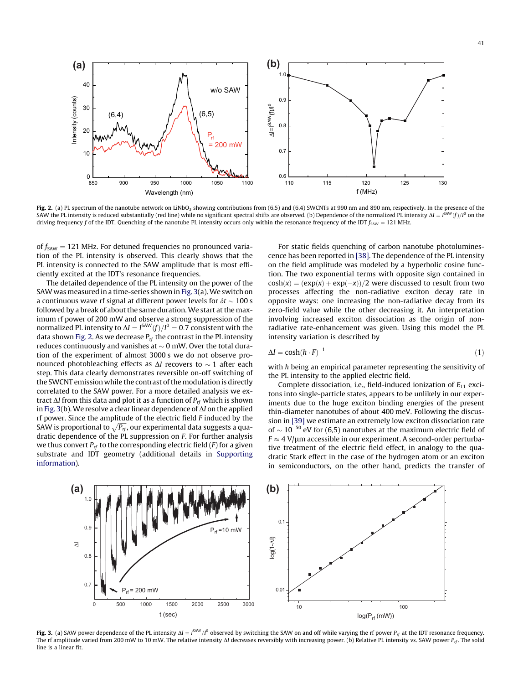<span id="page-2-0"></span>**(a) (b)** 1.0 40 w/o SAW Intensity (counts)  $0.9$ Intensity (counts) 30 SAW(f)/I 0  $(6.4)$   $\sqrt{11.65}$ 0.8 20 ΔI=I  $P_{\sf rf}$ = 200 mW  $0.7$ 10  $0L$ ــا 0.6<br>110 850 900 950 1000 1050 1100 110 115 120 125 130 f (MHz) Wavelength (nm)

Fig. 2. (a) PL spectrum of the nanotube network on LiNbO<sub>3</sub> showing contributions from (6,5) and (6,4) SWCNTs at 990 nm and 890 nm, respectively. In the presence of the SAW the PL intensity is reduced substantially (red line) while no significant spectral shifts are observed. (b) Dependence of the normalized PL intensity  $\Delta l = I^{SAW}(f)/I^0$  on the driving frequency f of the IDT. Quenching of the nanotube PL intensity occurs only within the resonance frequency of the IDT  $f_{SAW} = 121$  MHz.

of  $f_{SAW}$  = 121 MHz. For detuned frequencies no pronounced variation of the PL intensity is observed. This clearly shows that the PL intensity is connected to the SAW amplitude that is most efficiently excited at the IDT's resonance frequencies.

The detailed dependence of the PL intensity on the power of the SAWwas measured in a time-series shown in Fig. 3(a). We switch on a continuous wave rf signal at different power levels for  $\delta t\sim 100$  s followed by a break of about the same duration. We start at the maximum rf power of 200 mW and observe a strong suppression of the normalized PL intensity to  $\Delta l = I^{\text{SAW}}(f)/I^0=0.7$  consistent with the data shown Fig. 2. As we decrease  $P_{rf}$  the contrast in the PL intensity reduces continuously and vanishes at  $\sim$  0 mW. Over the total duration of the experiment of almost 3000 s we do not observe pronounced photobleaching effects as  $\Delta I$  recovers to  $\sim 1$  after each step. This data clearly demonstrates reversible on-off switching of the SWCNT emission while the contrast of the modulation is directly correlated to the SAW power. For a more detailed analysis we extract  $\Delta I$  from this data and plot it as a function of  $P_{rf}$  which is shown in Fig. 3(b). We resolve a clear linear dependence of  $\Delta I$  on the applied rf power. Since the amplitude of the electric field F induced by the  $\overline{S}$ SAW is proportional to  $\sqrt{P_{\text{rf}}},$  our experimental data suggests a quadratic dependence of the PL suppression on F. For further analysis we thus convert  $P_{rf}$  to the corresponding electric field (F) for a given substrate and IDT geometry (additional details in [Supporting](#page-5-0) [information](#page-5-0)).

**(a) (b)**

0.8

Δ<sup>I</sup>

 $0.9$ 

1.0

For static fields quenching of carbon nanotube photoluminescence has been reported in [\[38\].](#page-5-0) The dependence of the PL intensity on the field amplitude was modeled by a hyperbolic cosine function. The two exponential terms with opposite sign contained in  $cosh(x) = (exp(x) + exp(-x))/2$  were discussed to result from two processes affecting the non-radiative exciton decay rate in opposite ways: one increasing the non-radiative decay from its zero-field value while the other decreasing it. An interpretation involving increased exciton dissociation as the origin of nonradiative rate-enhancement was given. Using this model the PL intensity variation is described by

$$
\Delta I = \cosh(h \cdot F)^{-1} \tag{1}
$$

with h being an empirical parameter representing the sensitivity of the PL intensity to the applied electric field.

Complete dissociation, i.e., field-induced ionization of  $E_{11}$  excitons into single-particle states, appears to be unlikely in our experiments due to the huge exciton binding energies of the present thin-diameter nanotubes of about 400 meV. Following the discussion in [\[39\]](#page-5-0) we estimate an extremely low exciton dissociation rate of  $\sim$  10<sup>-50</sup> eV for (6,5) nanotubes at the maximum electric field of  $F \approx 4$  V/ $\mu$ m accessible in our experiment. A second-order perturbative treatment of the electric field effect, in analogy to the quadratic Stark effect in the case of the hydrogen atom or an exciton in semiconductors, on the other hand, predicts the transfer of



 $0.1$ 

log(1-ΔI)

 $P_{rf} = 10$  mW

**Fig. 3.** (a) SAW power dependence of the PL intensity  $\Delta I = I^{SAW}/I^0$  observed by switching the SAW on and off while varying the rf power  $P_{rf}$  at the IDT resonance frequency. The rf amplitude varied from 200 mW to 10 mW. The relative intensity  $\Delta l$  decreases reversibly with increasing power. (b) Relative PL intensity vs. SAW power  $P_{rf}$ . The solid line is a linear fit.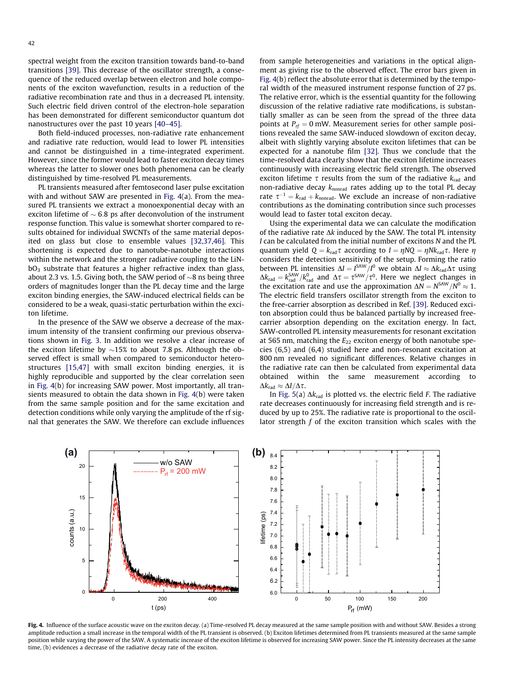<span id="page-3-0"></span>spectral weight from the exciton transition towards band-to-band transitions [\[39\].](#page-5-0) This decrease of the oscillator strength, a consequence of the reduced overlap between electron and hole components of the exciton wavefunction, results in a reduction of the radiative recombination rate and thus in a decreased PL intensity. Such electric field driven control of the electron-hole separation has been demonstrated for different semiconductor quantum dot nanostructures over the past 10 years [\[40–45\]](#page-5-0).

Both field-induced processes, non-radiative rate enhancement and radiative rate reduction, would lead to lower PL intensities and cannot be distinguished in a time-integrated experiment. However, since the former would lead to faster exciton decay times whereas the latter to slower ones both phenomena can be clearly distinguished by time-resolved PL measurements.

PL transients measured after femtosecond laser pulse excitation with and without SAW are presented in Fig. 4(a). From the measured PL transients we extract a monoexponential decay with an exciton lifetime of  $\sim$  6.8 ps after deconvolution of the instrument response function. This value is somewhat shorter compared to results obtained for individual SWCNTs of the same material deposited on glass but close to ensemble values [\[32,37,46\]](#page-5-0). This shortening is expected due to nanotube-nanotube interactions within the network and the stronger radiative coupling to the LiN $bO<sub>3</sub>$  substrate that features a higher refractive index than glass, about 2.3 vs. 1.5. Giving both, the SAW period of  ${\sim}8$  ns being three orders of magnitudes longer than the PL decay time and the large exciton binding energies, the SAW-induced electrical fields can be considered to be a weak, quasi-static perturbation within the exciton lifetime.

In the presence of the SAW we observe a decrease of the maximum intensity of the transient confirming our previous observations shown in [Fig.](#page-2-0) 3. In addition we resolve a clear increase of the exciton lifetime by  ${\sim}15\%$  to about 7.8 ps. Although the observed effect is small when compared to semiconductor heterostructures [\[15,47\]](#page-5-0) with small exciton binding energies, it is highly reproducible and supported by the clear correlation seen in Fig. 4(b) for increasing SAW power. Most importantly, all transients measured to obtain the data shown in Fig. 4(b) were taken from the same sample position and for the same excitation and detection conditions while only varying the amplitude of the rf signal that generates the SAW. We therefore can exclude influences

from sample heterogeneities and variations in the optical alignment as giving rise to the observed effect. The error bars given in Fig. 4(b) reflect the absolute error that is determined by the temporal width of the measured instrument response function of 27 ps. The relative error, which is the essential quantity for the following discussion of the relative radiative rate modifications, is substantially smaller as can be seen from the spread of the three data points at  $P_{rf} = 0$  mW. Measurement series for other sample positions revealed the same SAW-induced slowdown of exciton decay, albeit with slightly varying absolute exciton lifetimes that can be expected for a nanotube film [\[32\]](#page-5-0). Thus we conclude that the time-resolved data clearly show that the exciton lifetime increases continuously with increasing electric field strength. The observed exciton lifetime  $\tau$  results from the sum of the radiative  $k_{rad}$  and non-radiative decay  $k_{\text{nonrad}}$  rates adding up to the total PL decay rate  $\tau^{-1} = k_{rad} + k_{nonrad}$ . We exclude an increase of non-radiative contributions as the dominating contribution since such processes would lead to faster total exciton decay.

Using the experimental data we can calculate the modification of the radiative rate  $\Delta k$  induced by the SAW. The total PL intensity I can be calculated from the initial number of excitons N and the PL quantum yield  $Q = k_{rad}\tau$  according to  $I = \eta NQ = \eta Nk_{rad}\tau$ . Here  $\eta$ considers the detection sensitivity of the setup. Forming the ratio between PL intensities  $\Delta I = I^{SAW}/I^0$  we obtain  $\Delta I \approx \Delta k_{rad} \Delta \tau$  using  $\Delta k_{\text{rad}} = k_{\text{rad}}^{\text{SAW}}/k_{\text{rad}}^0$  and  $\Delta \tau = \tau^{\text{SAW}}/\tau^0$ . Here we neglect changes in the excitation rate and use the approximation  $\Delta N = N^{SAW}/N^0 \approx 1$ . The electric field transfers oscillator strength from the exciton to the free-carrier absorption as described in Ref. [\[39\]](#page-5-0). Reduced exciton absorption could thus be balanced partially by increased freecarrier absorption depending on the excitation energy. In fact, SAW-controlled PL intensity measurements for resonant excitation at 565 nm, matching the  $E_{22}$  exciton energy of both nanotube species (6,5) and (6,4) studied here and non-resonant excitation at 800 nm revealed no significant differences. Relative changes in the radiative rate can then be calculated from experimental data obtained within the same measurement according to  $\Delta k_{\rm rad} \approx \Delta I/\Delta \tau$ .

In [Fig.](#page-4-0) 5(a)  $\Delta k_{rad}$  is plotted vs. the electric field F. The radiative rate decreases continuously for increasing field strength and is reduced by up to 25%. The radiative rate is proportional to the oscillator strength f of the exciton transition which scales with the



Fig. 4. Influence of the surface acoustic wave on the exciton decay. (a) Time-resolved PL decay measured at the same sample position with and without SAW. Besides a strong amplitude reduction a small increase in the temporal width of the PL transient is observed. (b) Exciton lifetimes determined from PL transients measured at the same sample position while varying the power of the SAW. A systematic increase of the exciton lifetime is observed for increasing SAW power. Since the PL intensity decreases at the same time, (b) evidences a decrease of the radiative decay rate of the exciton.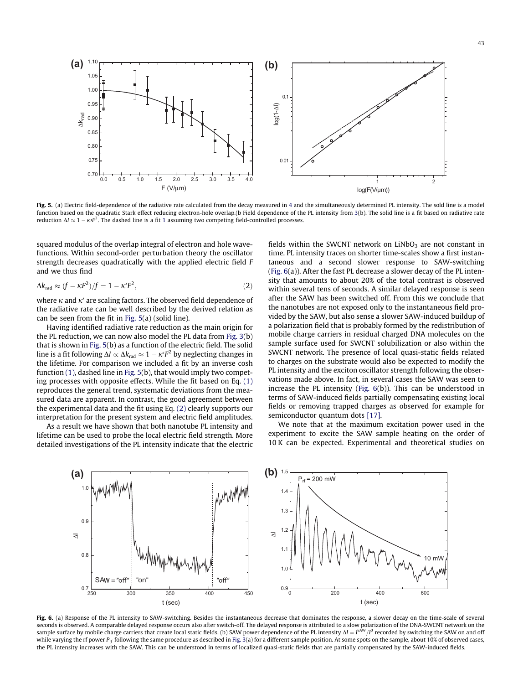<span id="page-4-0"></span>

Fig. 5. (a) Electric field-dependence of the radiative rate calculated from the decay measured in [4](#page-3-0) and the simultaneously determined PL intensity. The sold line is a model function based on the quadratic Stark effect reducing electron-hole overlap.(b Field dependence of the PL intensity from [3\(](#page-2-0)b). The solid line is a fit based on radiative rate reduction  $\Delta I \approx 1 - \kappa r^2$  $\Delta I \approx 1 - \kappa r^2$  $\Delta I \approx 1 - \kappa r^2$ . The dashed line is a fit 1 assuming two competing field-controlled processes.

squared modulus of the overlap integral of electron and hole wavefunctions. Within second-order perturbation theory the oscillator strength decreases quadratically with the applied electric field F and we thus find

$$
\Delta k_{\rm rad} \approx (f - \kappa F^2)/f = 1 - \kappa' F^2,\tag{2}
$$

where  $\kappa$  and  $\kappa'$  are scaling factors. The observed field dependence of the radiative rate can be well described by the derived relation as can be seen from the fit in Fig. 5(a) (solid line).

Having identified radiative rate reduction as the main origin for the PL reduction, we can now also model the PL data from [Fig.](#page-2-0) 3(b) that is shown in Fig. 5(b) as a function of the electric field. The solid line is a fit following  $\Delta l \propto \Delta k_{\rm rad} \approx 1 - \kappa' F^2$  by neglecting changes in the lifetime. For comparison we included a fit by an inverse cosh function  $(1)$ , dashed line in Fig. 5(b), that would imply two competing processes with opposite effects. While the fit based on Eq. [\(1\)](#page-2-0) reproduces the general trend, systematic deviations from the measured data are apparent. In contrast, the good agreement between the experimental data and the fit using Eq. (2) clearly supports our interpretation for the present system and electric field amplitudes.

As a result we have shown that both nanotube PL intensity and lifetime can be used to probe the local electric field strength. More detailed investigations of the PL intensity indicate that the electric fields within the SWCNT network on LiNbO<sub>3</sub> are not constant in time. PL intensity traces on shorter time-scales show a first instantaneous and a second slower response to SAW-switching (Fig. 6(a)). After the fast PL decrease a slower decay of the PL intensity that amounts to about 20% of the total contrast is observed within several tens of seconds. A similar delayed response is seen after the SAW has been switched off. From this we conclude that the nanotubes are not exposed only to the instantaneous field provided by the SAW, but also sense a slower SAW-induced buildup of a polarization field that is probably formed by the redistribution of mobile charge carriers in residual charged DNA molecules on the sample surface used for SWCNT solubilization or also within the SWCNT network. The presence of local quasi-static fields related to charges on the substrate would also be expected to modify the PL intensity and the exciton oscillator strength following the observations made above. In fact, in several cases the SAW was seen to increase the PL intensity (Fig. 6(b)). This can be understood in terms of SAW-induced fields partially compensating existing local fields or removing trapped charges as observed for example for semiconductor quantum dots [\[17\].](#page-5-0)

We note that at the maximum excitation power used in the experiment to excite the SAW sample heating on the order of 10 K can be expected. Experimental and theoretical studies on



Fig. 6. (a) Response of the PL intensity to SAW-switching. Besides the instantaneous decrease that dominates the response, a slower decay on the time-scale of several seconds is observed. A comparable delayed response occurs also after switch-off. The delayed response is attributed to a slow polarization of the DNA-SWCNT network on the sample surface by mobile charge carriers that create local static fields. (b) SAW power dependence of the PL intensity  $\Delta l = I^{5\text{AW}}/I^0$  recorded by switching the SAW on and ofl while varying the rf power  $P_{rf}$  following the same procedure as described in [Fig.](#page-2-0) 3(a) for a different sample position. At some spots on the sample, about 10% of observed cases, the PL intensity increases with the SAW. This can be understood in terms of localized quasi-static fields that are partially compensated by the SAW-induced fields.